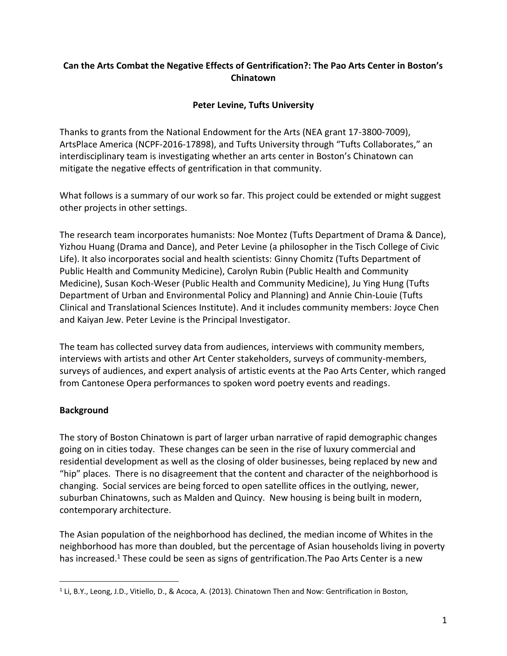## **Can the Arts Combat the Negative Effects of Gentrification?: The Pao Arts Center in Boston's Chinatown**

# **Peter Levine, Tufts University**

Thanks to grants from the National Endowment for the Arts (NEA grant 17-3800-7009), ArtsPlace America (NCPF-2016-17898), and Tufts University through "Tufts Collaborates," an interdisciplinary team is investigating whether an arts center in Boston's Chinatown can mitigate the negative effects of gentrification in that community.

What follows is a summary of our work so far. This project could be extended or might suggest other projects in other settings.

The research team incorporates humanists: Noe Montez (Tufts Department of Drama & Dance), Yizhou Huang (Drama and Dance), and Peter Levine (a philosopher in the Tisch College of Civic Life). It also incorporates social and health scientists: Ginny Chomitz (Tufts Department of Public Health and Community Medicine), Carolyn Rubin (Public Health and Community Medicine), Susan Koch-Weser (Public Health and Community Medicine), Ju Ying Hung (Tufts Department of Urban and Environmental Policy and Planning) and Annie Chin-Louie (Tufts Clinical and Translational Sciences Institute). And it includes community members: Joyce Chen and Kaiyan Jew. Peter Levine is the Principal Investigator.

The team has collected survey data from audiences, interviews with community members, interviews with artists and other Art Center stakeholders, surveys of community-members, surveys of audiences, and expert analysis of artistic events at the Pao Arts Center, which ranged from Cantonese Opera performances to spoken word poetry events and readings.

## **Background**

The story of Boston Chinatown is part of larger urban narrative of rapid demographic changes going on in cities today. These changes can be seen in the rise of luxury commercial and residential development as well as the closing of older businesses, being replaced by new and "hip" places. There is no disagreement that the content and character of the neighborhood is changing. Social services are being forced to open satellite offices in the outlying, newer, suburban Chinatowns, such as Malden and Quincy. New housing is being built in modern, contemporary architecture.

The Asian population of the neighborhood has declined, the median income of Whites in the neighborhood has more than doubled, but the percentage of Asian households living in poverty has increased.<sup>1</sup> These could be seen as signs of gentrification. The Pao Arts Center is a new

 $\overline{a}$ <sup>1</sup> Li, B.Y., Leong, J.D., Vitiello, D., & Acoca, A. (2013). Chinatown Then and Now: Gentrification in Boston,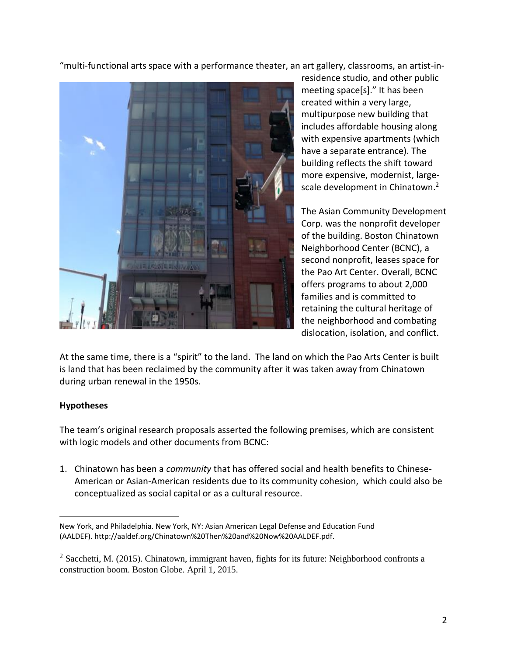"multi-functional arts space with a performance theater, an art gallery, classrooms, an artist-in-



residence studio, and other public meeting space[s]." It has been created within a very large, multipurpose new building that includes affordable housing along with expensive apartments (which have a separate entrance). The building reflects the shift toward more expensive, modernist, largescale development in Chinatown.<sup>2</sup>

The Asian Community Development Corp. was the nonprofit developer of the building. Boston Chinatown Neighborhood Center (BCNC), a second nonprofit, leases space for the Pao Art Center. Overall, BCNC offers programs to about 2,000 families and is committed to retaining the cultural heritage of the neighborhood and combating dislocation, isolation, and conflict.

At the same time, there is a "spirit" to the land. The land on which the Pao Arts Center is built is land that has been reclaimed by the community after it was taken away from Chinatown during urban renewal in the 1950s.

### **Hypotheses**

 $\overline{a}$ 

The team's original research proposals asserted the following premises, which are consistent with logic models and other documents from BCNC:

1. Chinatown has been a *community* that has offered social and health benefits to Chinese-American or Asian-American residents due to its community cohesion, which could also be conceptualized as social capital or as a cultural resource.

New York, and Philadelphia. New York, NY: Asian American Legal Defense and Education Fund (AALDEF). http://aaldef.org/Chinatown%20Then%20and%20Now%20AALDEF.pdf.

 $2$  Sacchetti, M. (2015). Chinatown, immigrant haven, fights for its future: Neighborhood confronts a construction boom. Boston Globe. April 1, 2015.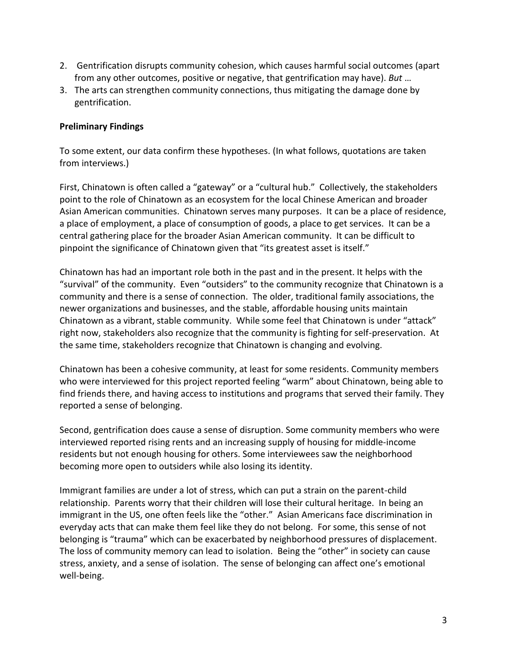- 2. Gentrification disrupts community cohesion, which causes harmful social outcomes (apart from any other outcomes, positive or negative, that gentrification may have). *But* …
- 3. The arts can strengthen community connections, thus mitigating the damage done by gentrification.

### **Preliminary Findings**

To some extent, our data confirm these hypotheses. (In what follows, quotations are taken from interviews.)

First, Chinatown is often called a "gateway" or a "cultural hub." Collectively, the stakeholders point to the role of Chinatown as an ecosystem for the local Chinese American and broader Asian American communities. Chinatown serves many purposes. It can be a place of residence, a place of employment, a place of consumption of goods, a place to get services. It can be a central gathering place for the broader Asian American community. It can be difficult to pinpoint the significance of Chinatown given that "its greatest asset is itself."

Chinatown has had an important role both in the past and in the present. It helps with the "survival" of the community. Even "outsiders" to the community recognize that Chinatown is a community and there is a sense of connection. The older, traditional family associations, the newer organizations and businesses, and the stable, affordable housing units maintain Chinatown as a vibrant, stable community. While some feel that Chinatown is under "attack" right now, stakeholders also recognize that the community is fighting for self-preservation. At the same time, stakeholders recognize that Chinatown is changing and evolving.

Chinatown has been a cohesive community, at least for some residents. Community members who were interviewed for this project reported feeling "warm" about Chinatown, being able to find friends there, and having access to institutions and programs that served their family. They reported a sense of belonging.

Second, gentrification does cause a sense of disruption. Some community members who were interviewed reported rising rents and an increasing supply of housing for middle-income residents but not enough housing for others. Some interviewees saw the neighborhood becoming more open to outsiders while also losing its identity.

Immigrant families are under a lot of stress, which can put a strain on the parent-child relationship. Parents worry that their children will lose their cultural heritage. In being an immigrant in the US, one often feels like the "other." Asian Americans face discrimination in everyday acts that can make them feel like they do not belong. For some, this sense of not belonging is "trauma" which can be exacerbated by neighborhood pressures of displacement. The loss of community memory can lead to isolation. Being the "other" in society can cause stress, anxiety, and a sense of isolation. The sense of belonging can affect one's emotional well-being.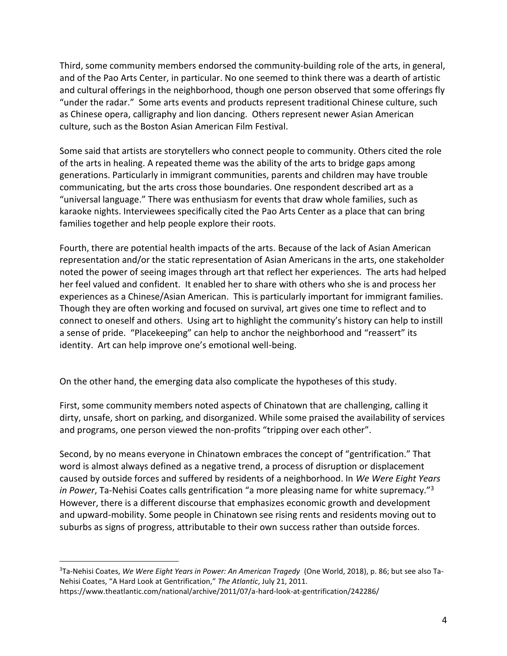Third, some community members endorsed the community-building role of the arts, in general, and of the Pao Arts Center, in particular. No one seemed to think there was a dearth of artistic and cultural offerings in the neighborhood, though one person observed that some offerings fly "under the radar." Some arts events and products represent traditional Chinese culture, such as Chinese opera, calligraphy and lion dancing. Others represent newer Asian American culture, such as the Boston Asian American Film Festival.

Some said that artists are storytellers who connect people to community. Others cited the role of the arts in healing. A repeated theme was the ability of the arts to bridge gaps among generations. Particularly in immigrant communities, parents and children may have trouble communicating, but the arts cross those boundaries. One respondent described art as a "universal language." There was enthusiasm for events that draw whole families, such as karaoke nights. Interviewees specifically cited the Pao Arts Center as a place that can bring families together and help people explore their roots.

Fourth, there are potential health impacts of the arts. Because of the lack of Asian American representation and/or the static representation of Asian Americans in the arts, one stakeholder noted the power of seeing images through art that reflect her experiences. The arts had helped her feel valued and confident. It enabled her to share with others who she is and process her experiences as a Chinese/Asian American. This is particularly important for immigrant families. Though they are often working and focused on survival, art gives one time to reflect and to connect to oneself and others. Using art to highlight the community's history can help to instill a sense of pride. "Placekeeping" can help to anchor the neighborhood and "reassert" its identity. Art can help improve one's emotional well-being.

On the other hand, the emerging data also complicate the hypotheses of this study.

First, some community members noted aspects of Chinatown that are challenging, calling it dirty, unsafe, short on parking, and disorganized. While some praised the availability of services and programs, one person viewed the non-profits "tripping over each other".

Second, by no means everyone in Chinatown embraces the concept of "gentrification." That word is almost always defined as a negative trend, a process of disruption or displacement caused by outside forces and suffered by residents of a neighborhood. In *We Were Eight Years in Power*, Ta-Nehisi Coates calls gentrification "a more pleasing name for white supremacy."<sup>3</sup> However, there is a different discourse that emphasizes economic growth and development and upward-mobility. Some people in Chinatown see rising rents and residents moving out to suburbs as signs of progress, attributable to their own success rather than outside forces.

 $\overline{a}$ 

<sup>3</sup>Ta-Nehisi Coates, *We Were Eight Years in Power: An American Tragedy* (One World, 2018), p. 86; but see also Ta-Nehisi Coates, "A Hard Look at Gentrification," *The Atlantic*, July 21, 2011.

https://www.theatlantic.com/national/archive/2011/07/a-hard-look-at-gentrification/242286/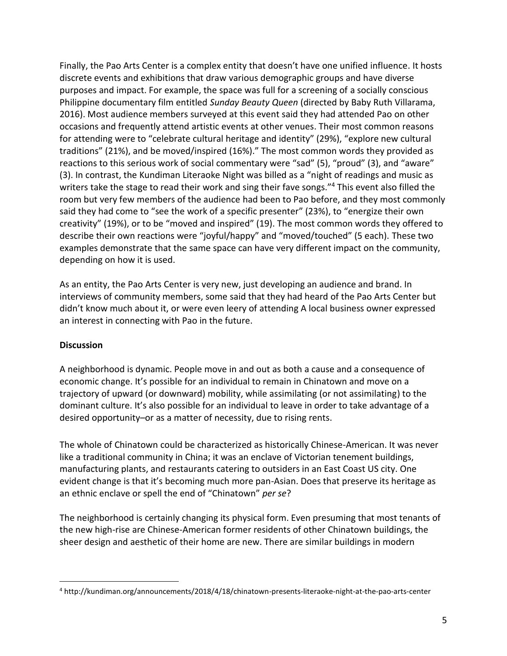Finally, the Pao Arts Center is a complex entity that doesn't have one unified influence. It hosts discrete events and exhibitions that draw various demographic groups and have diverse purposes and impact. For example, the space was full for a screening of a socially conscious Philippine documentary film entitled *Sunday Beauty Queen* (directed by Baby Ruth Villarama, 2016). Most audience members surveyed at this event said they had attended Pao on other occasions and frequently attend artistic events at other venues. Their most common reasons for attending were to "celebrate cultural heritage and identity" (29%), "explore new cultural traditions" (21%), and be moved/inspired (16%)." The most common words they provided as reactions to this serious work of social commentary were "sad" (5), "proud" (3), and "aware" (3). In contrast, the Kundiman Literaoke Night was billed as a "night of readings and music as writers take the stage to read their work and sing their fave songs."<sup>4</sup> This event also filled the room but very few members of the audience had been to Pao before, and they most commonly said they had come to "see the work of a specific presenter" (23%), to "energize their own creativity" (19%), or to be "moved and inspired" (19). The most common words they offered to describe their own reactions were "joyful/happy" and "moved/touched" (5 each). These two examples demonstrate that the same space can have very different impact on the community, depending on how it is used.

As an entity, the Pao Arts Center is very new, just developing an audience and brand. In interviews of community members, some said that they had heard of the Pao Arts Center but didn't know much about it, or were even leery of attending A local business owner expressed an interest in connecting with Pao in the future.

### **Discussion**

 $\overline{a}$ 

A neighborhood is dynamic. People move in and out as both a cause and a consequence of economic change. It's possible for an individual to remain in Chinatown and move on a trajectory of upward (or downward) mobility, while assimilating (or not assimilating) to the dominant culture. It's also possible for an individual to leave in order to take advantage of a desired opportunity–or as a matter of necessity, due to rising rents.

The whole of Chinatown could be characterized as historically Chinese-American. It was never like a traditional community in China; it was an enclave of Victorian tenement buildings, manufacturing plants, and restaurants catering to outsiders in an East Coast US city. One evident change is that it's becoming much more pan-Asian. Does that preserve its heritage as an ethnic enclave or spell the end of "Chinatown" *per se*?

The neighborhood is certainly changing its physical form. Even presuming that most tenants of the new high-rise are Chinese-American former residents of other Chinatown buildings, the sheer design and aesthetic of their home are new. There are similar buildings in modern

<sup>4</sup> http://kundiman.org/announcements/2018/4/18/chinatown-presents-literaoke-night-at-the-pao-arts-center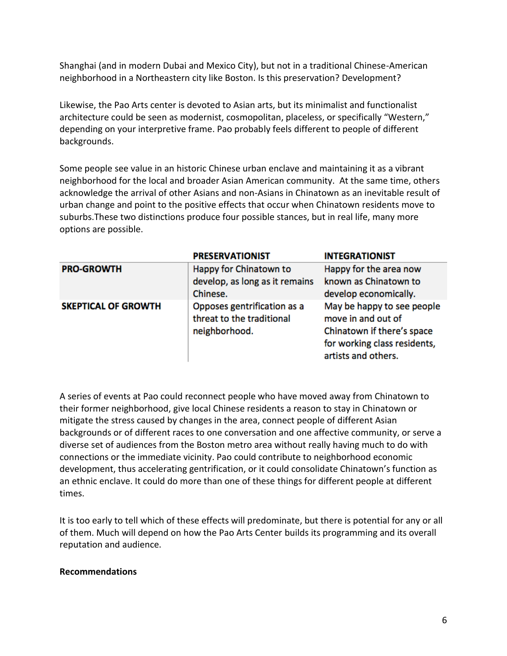Shanghai (and in modern Dubai and Mexico City), but not in a traditional Chinese-American neighborhood in a Northeastern city like Boston. Is this preservation? Development?

Likewise, the Pao Arts center is devoted to Asian arts, but its minimalist and functionalist architecture could be seen as modernist, cosmopolitan, placeless, or specifically "Western," depending on your interpretive frame. Pao probably feels different to people of different backgrounds.

Some people see value in an historic Chinese urban enclave and maintaining it as a vibrant neighborhood for the local and broader Asian American community. At the same time, others acknowledge the arrival of other Asians and non-Asians in Chinatown as an inevitable result of urban change and point to the positive effects that occur when Chinatown residents move to suburbs.These two distinctions produce four possible stances, but in real life, many more options are possible.

|                            | <b>PRESERVATIONIST</b>                                   | <b>INTEGRATIONIST</b>                               |
|----------------------------|----------------------------------------------------------|-----------------------------------------------------|
| <b>PRO-GROWTH</b>          | Happy for Chinatown to                                   | Happy for the area now                              |
|                            | develop, as long as it remains                           | known as Chinatown to                               |
|                            | Chinese.                                                 | develop economically.                               |
| <b>SKEPTICAL OF GROWTH</b> | Opposes gentrification as a<br>threat to the traditional | May be happy to see people<br>move in and out of    |
|                            | neighborhood.                                            | Chinatown if there's space                          |
|                            |                                                          | for working class residents,<br>artists and others. |

A series of events at Pao could reconnect people who have moved away from Chinatown to their former neighborhood, give local Chinese residents a reason to stay in Chinatown or mitigate the stress caused by changes in the area, connect people of different Asian backgrounds or of different races to one conversation and one affective community, or serve a diverse set of audiences from the Boston metro area without really having much to do with connections or the immediate vicinity. Pao could contribute to neighborhood economic development, thus accelerating gentrification, or it could consolidate Chinatown's function as an ethnic enclave. It could do more than one of these things for different people at different times.

It is too early to tell which of these effects will predominate, but there is potential for any or all of them. Much will depend on how the Pao Arts Center builds its programming and its overall reputation and audience.

### **Recommendations**